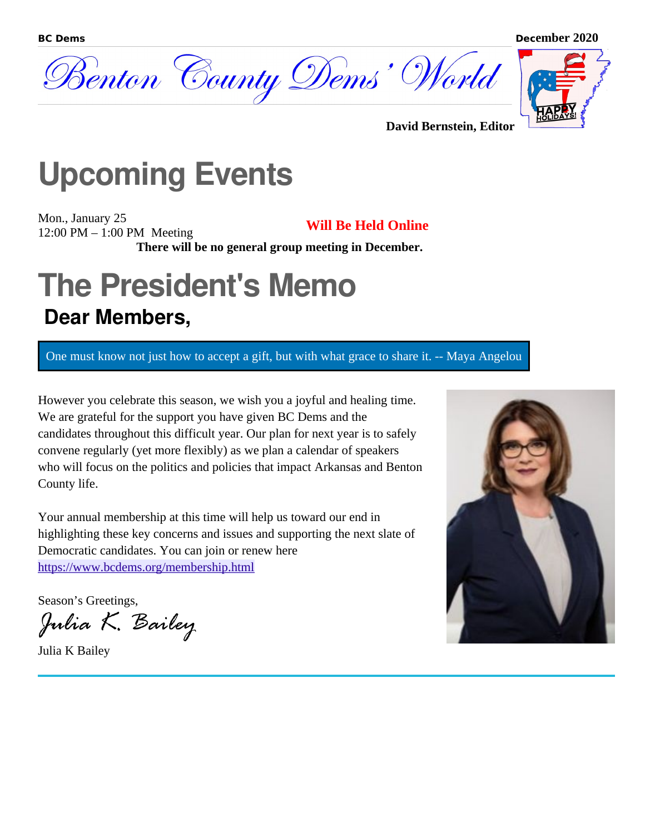



**David Bernstein, Editor**

## **Upcoming Events**

Mon., January 25 12:00 PM – 1:00 PM Meeting **Will Be Held Online**

**There will be no general group meeting in December.**

### **The President's Memo Dear Members,**

One must know not just how to accept a gift, but with what grace to share it. -- Maya Angelou

However you celebrate this season, we wish you a joyful and healing time. We are grateful for the support you have given BC Dems and the candidates throughout this difficult year. Our plan for next year is to safely convene regularly (yet more flexibly) as we plan a calendar of speakers who will focus on the politics and policies that impact Arkansas and Benton County life.

Your annual membership at this time will help us toward our end in highlighting these key concerns and issues and supporting the next slate of Democratic candidates. You can join or renew here <https://www.bcdems.org/membership.html>

Season's Greetings,

Julia K. Bailey

Julia K Bailey



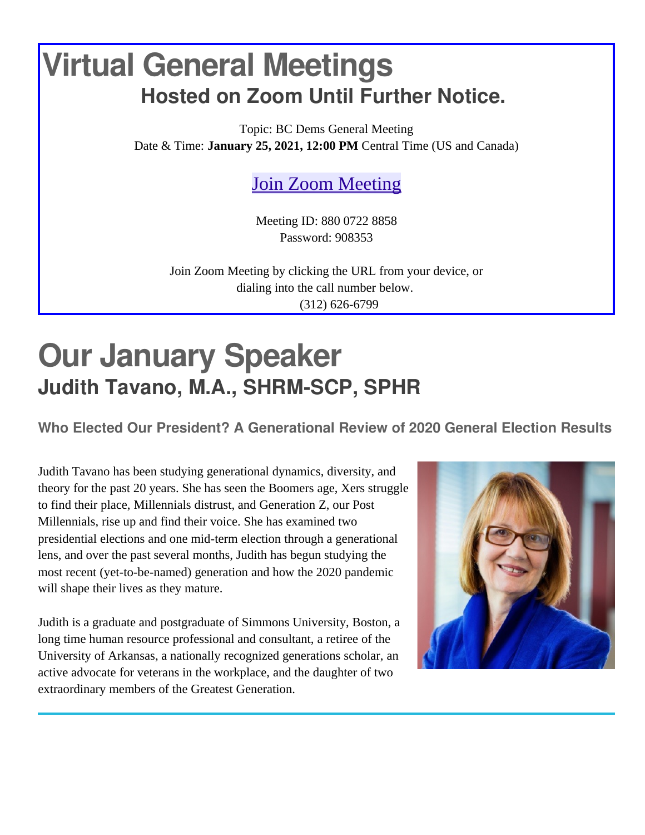### **Virtual General Meetings Hosted on Zoom Until Further Notice.**

Topic: BC Dems General Meeting Date & Time: **January 25, 2021, 12:00 PM** Central Time (US and Canada)

[Join Zoom Meeting](https://us02web.zoom.us/j/88007228858?pwd=V3FNMDFnSzlrb0M2QkxOazBPNEIzQT09)

Meeting ID: 880 0722 8858 Password: 908353

Join Zoom Meeting by clicking the URL from your device, or dialing into the call number below. (312) 626-6799

## **Our January Speaker Judith Tavano, M.A., SHRM-SCP, SPHR**

**Who Elected Our President? A Generational Review of 2020 General Election Results**

Judith Tavano has been studying generational dynamics, diversity, and theory for the past 20 years. She has seen the Boomers age, Xers struggle to find their place, Millennials distrust, and Generation Z, our Post Millennials, rise up and find their voice. She has examined two presidential elections and one mid-term election through a generational lens, and over the past several months, Judith has begun studying the most recent (yet-to-be-named) generation and how the 2020 pandemic will shape their lives as they mature.

Judith is a graduate and postgraduate of Simmons University, Boston, a long time human resource professional and consultant, a retiree of the University of Arkansas, a nationally recognized generations scholar, an active advocate for veterans in the workplace, and the daughter of two extraordinary members of the Greatest Generation.

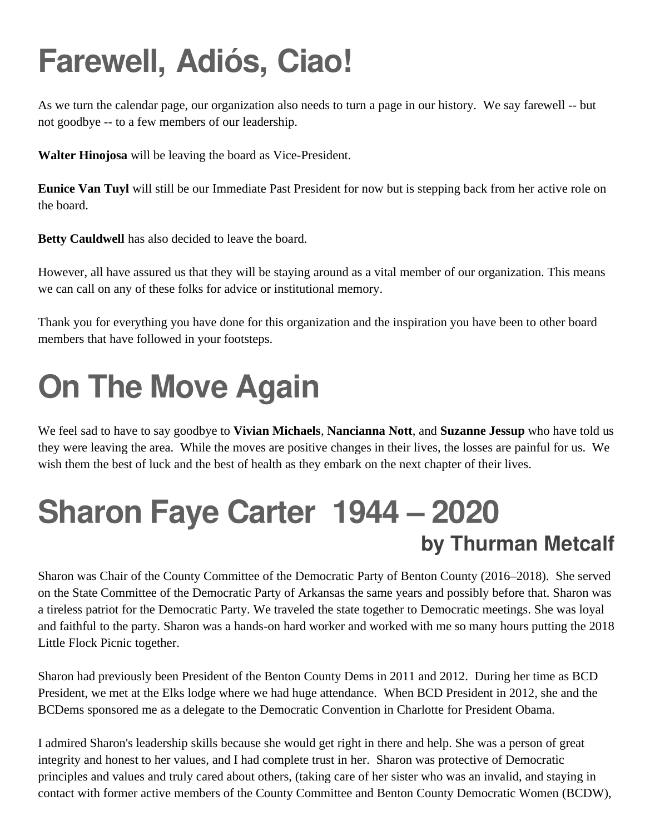# **Farewell, Adiós, Ciao!**

As we turn the calendar page, our organization also needs to turn a page in our history. We say farewell -- but not goodbye -- to a few members of our leadership.

**Walter Hinojosa** will be leaving the board as Vice-President.

**Eunice Van Tuyl** will still be our Immediate Past President for now but is stepping back from her active role on the board.

**Betty Cauldwell** has also decided to leave the board.

However, all have assured us that they will be staying around as a vital member of our organization. This means we can call on any of these folks for advice or institutional memory.

Thank you for everything you have done for this organization and the inspiration you have been to other board members that have followed in your footsteps.

# **On The Move Again**

We feel sad to have to say goodbye to **Vivian Michaels**, **Nancianna Nott**, and **Suzanne Jessup** who have told us they were leaving the area. While the moves are positive changes in their lives, the losses are painful for us. We wish them the best of luck and the best of health as they embark on the next chapter of their lives.

## **Sharon Faye Carter 1944 – 2020 by Thurman Metcalf**

Sharon was Chair of the County Committee of the Democratic Party of Benton County (2016–2018). She served on the State Committee of the Democratic Party of Arkansas the same years and possibly before that. Sharon was a tireless patriot for the Democratic Party. We traveled the state together to Democratic meetings. She was loyal and faithful to the party. Sharon was a hands-on hard worker and worked with me so many hours putting the 2018 Little Flock Picnic together.

Sharon had previously been President of the Benton County Dems in 2011 and 2012. During her time as BCD President, we met at the Elks lodge where we had huge attendance. When BCD President in 2012, she and the BCDems sponsored me as a delegate to the Democratic Convention in Charlotte for President Obama.

I admired Sharon's leadership skills because she would get right in there and help. She was a person of great integrity and honest to her values, and I had complete trust in her. Sharon was protective of Democratic principles and values and truly cared about others, (taking care of her sister who was an invalid, and staying in contact with former active members of the County Committee and Benton County Democratic Women (BCDW),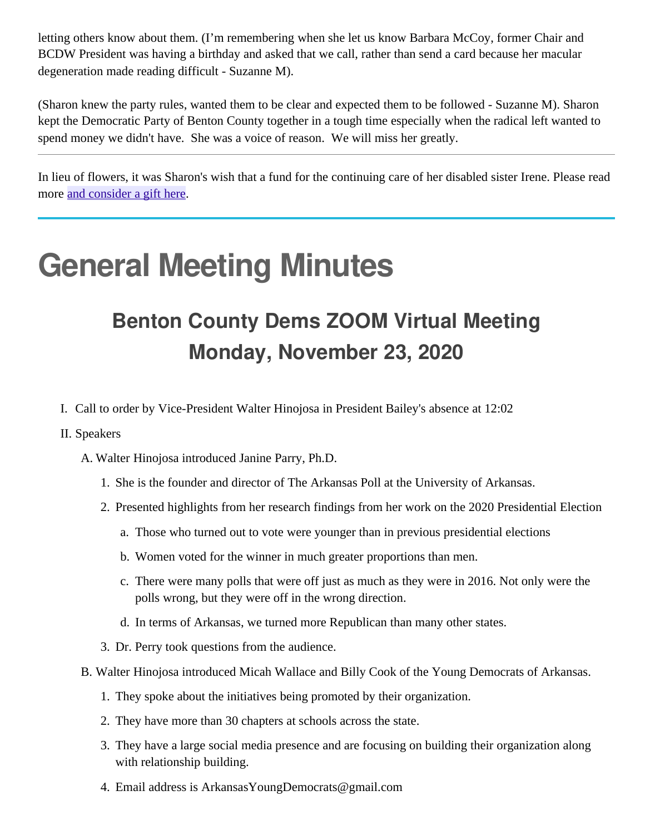letting others know about them. (I'm remembering when she let us know Barbara McCoy, former Chair and BCDW President was having a birthday and asked that we call, rather than send a card because her macular degeneration made reading difficult - Suzanne M).

(Sharon knew the party rules, wanted them to be clear and expected them to be followed - Suzanne M). Sharon kept the Democratic Party of Benton County together in a tough time especially when the radical left wanted to spend money we didn't have. She was a voice of reason. We will miss her greatly.

In lieu of flowers, it was Sharon's wish that a fund for the continuing care of her disabled sister Irene. Please read more [and consider a gift here](https://www.gofundme.com/f/help-support-continuing-care-for-irene?utm_source=customer&utm_medium=copy_link&utm_campaign=p_cf+share-flow-1).

## **General Meeting Minutes**

#### **Benton County Dems ZOOM Virtual Meeting Monday, November 23, 2020**

- I. Call to order by Vice-President Walter Hinojosa in President Bailey's absence at 12:02
- II. Speakers

A. Walter Hinojosa introduced Janine Parry, Ph.D.

- 1. She is the founder and director of The Arkansas Poll at the University of Arkansas.
- 2. Presented highlights from her research findings from her work on the 2020 Presidential Election
	- a. Those who turned out to vote were younger than in previous presidential elections
	- b. Women voted for the winner in much greater proportions than men.
	- c. There were many polls that were off just as much as they were in 2016. Not only were the polls wrong, but they were off in the wrong direction.
	- d. In terms of Arkansas, we turned more Republican than many other states.
- 3. Dr. Perry took questions from the audience.
- B. Walter Hinojosa introduced Micah Wallace and Billy Cook of the Young Democrats of Arkansas.
	- 1. They spoke about the initiatives being promoted by their organization.
	- 2. They have more than 30 chapters at schools across the state.
	- 3. They have a large social media presence and are focusing on building their organization along with relationship building.
	- 4. Email address is ArkansasYoungDemocrats@gmail.com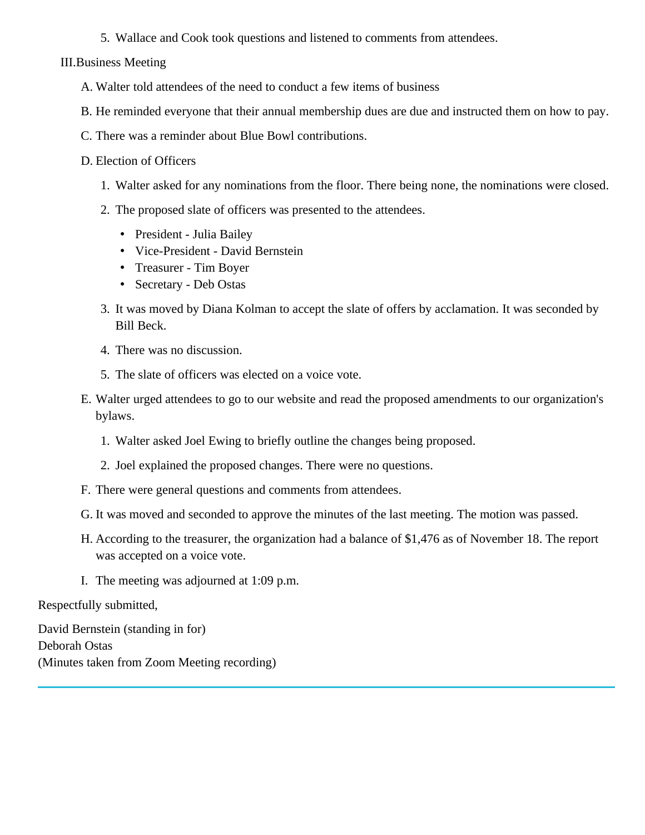5. Wallace and Cook took questions and listened to comments from attendees.

III.Business Meeting

- A. Walter told attendees of the need to conduct a few items of business
- B. He reminded everyone that their annual membership dues are due and instructed them on how to pay.
- C. There was a reminder about Blue Bowl contributions.
- D. Election of Officers
	- 1. Walter asked for any nominations from the floor. There being none, the nominations were closed.
	- 2. The proposed slate of officers was presented to the attendees.
		- President Julia Bailey
		- Vice-President David Bernstein
		- Treasurer Tim Boyer
		- Secretary Deb Ostas
	- 3. It was moved by Diana Kolman to accept the slate of offers by acclamation. It was seconded by Bill Beck.
	- 4. There was no discussion.
	- 5. The slate of officers was elected on a voice vote.
- E. Walter urged attendees to go to our website and read the proposed amendments to our organization's bylaws.
	- 1. Walter asked Joel Ewing to briefly outline the changes being proposed.
	- 2. Joel explained the proposed changes. There were no questions.
- F. There were general questions and comments from attendees.
- G. It was moved and seconded to approve the minutes of the last meeting. The motion was passed.
- H. According to the treasurer, the organization had a balance of \$1,476 as of November 18. The report was accepted on a voice vote.
- I. The meeting was adjourned at 1:09 p.m.

Respectfully submitted,

David Bernstein (standing in for) Deborah Ostas (Minutes taken from Zoom Meeting recording)